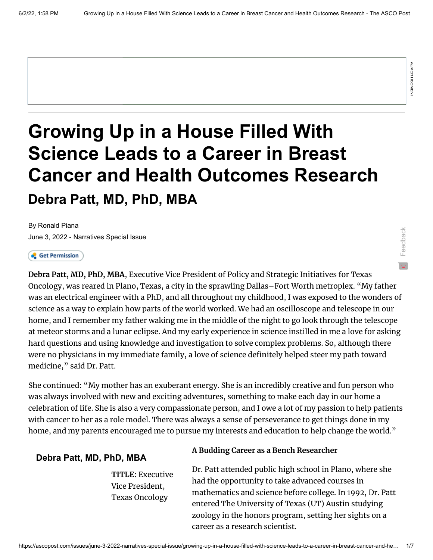Feedback

# **Growing Up in a House Filled With Science Leads to a Career in Breast Cancer and Health Outcomes Research Debra Patt, MD, PhD, MBA**

[By Ronald Piana](https://www.ascopost.com/search-results/?q=Ronald+Piana) [June 3, 2022 - Narratives Special Issue](https://ascopost.com/issues/june-3-2022-narratives-special-issue/)

**Growing Up in a House-Filled With**<br>
Science-Leads to a Career in Breast<br>
Cancer and Health Outcomes Research<br>
Debra Patt, MD, PhD, MBA<br>
Java 3-202-Newsles-Species<br>
Java 3-202-Newsles-Species<br>
Java 3-202-Newsles-Species<br> **Debra Patt, MD, PhD, MBA**, Executive Vice President of Policy and Strategic Initiatives for Texas Oncology, was reared in Plano, Texas, a city in the sprawling Dallas–Fort Worth metroplex. "My father was an electrical engineer with a PhD, and all throughout my childhood, I was exposed to the wonders of science as a way to explain how parts of the world worked. We had an oscilloscope and telescope in our home, and I remember my father waking me in the middle of the night to go look through the telescope at meteor storms and a lunar eclipse. And my early experience in science instilled in me a love for asking hard questions and using knowledge and investigation to solve complex problems. So, although there were no physicians in my immediate family, a love of science definitely helped steer my path toward medicine," said Dr. Patt.

She continued: "My mother has an exuberant energy. She is an incredibly creative and fun person who was always involved with new and exciting adventures, something to make each day in our home a celebration of life. She is also a very compassionate person, and I owe a lot of my passion to help patients with cancer to her as a role model. There was always a sense of perseverance to get things done in my home, and my parents encouraged me to pursue my interests and education to help change the world."

#### **Debra Patt, MD, PhD, MBA**

**TITLE:** Executive Vice President, Texas Oncology

#### **A Budding Career as a Bench Researcher**

Dr. Patt attended public high school in Plano, where she had the opportunity to take advanced courses in mathematics and science before college. In 1992, Dr. Patt entered The University of Texas (UT) Austin studying zoology in the honors program, setting her sights on a career as a research scientist.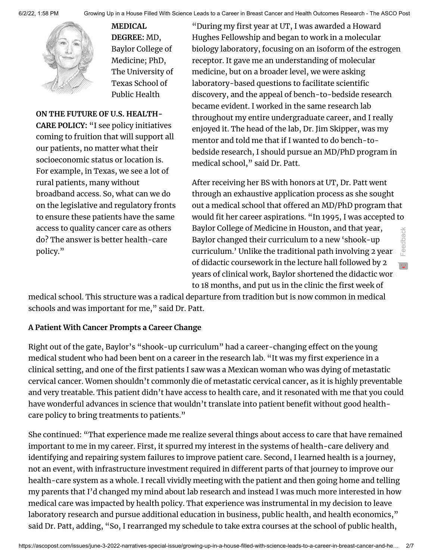

**MEDICAL DEGREE:** MD, Baylor College of Medicine; PhD, The University of Texas School of Public Health

**ON THE FUTURE OF U.S. HEALTH-CARE POLICY:** "I see policy initiatives coming to fruition that will support all our patients, no matter what their socioeconomic status or location is. For example, in Texas, we see a lot of rural patients, many without broadband access. So, what can we do on the legislative and regulatory fronts to ensure these patients have the same access to quality cancer care as others do? The answer is better health-care policy."

"During my first year at UT, I was awarded a Howard Hughes Fellowship and began to work in a molecular biology laboratory, focusing on an isoform of the estrogen receptor. It gave me an understanding of molecular medicine, but on a broader level, we were asking laboratory-based questions to facilitate scientific discovery, and the appeal of bench-to-bedside research became evident. I worked in the same research lab throughout my entire undergraduate career, and I really enjoyed it. The head of the lab, Dr. Jim Skipper, was my mentor and told me that if I wanted to do bench-tobedside research, I should pursue an MD/PhD program in medical school," said Dr. Patt.

After receiving her BS with honors at UT, Dr. Patt went through an exhaustive application process as she sought out a medical school that offered an MD/PhD program that would fit her career aspirations. "In 1995, I was accepted to Baylor College of Medicine in Houston, and that year, Baylor changed their curriculum to a new 'shook-up curriculum.' Unlike the traditional path involving 2 years of didactic coursework in the lecture hall followed by 2 years of clinical work, Baylor shortened the didactic work to 18 months, and put us in the clinic the first week of Feedback

medical school. This structure was a radical departure from tradition but is now common in medical schools and was important for me," said Dr. Patt.

#### **A Patient With Cancer Prompts a Career Change**

Right out of the gate, Baylor's "shook-up curriculum" had a career-changing effect on the young medical student who had been bent on a career in the research lab. "It was my first experience in a clinical setting, and one of the first patients I saw was a Mexican woman who was dying of metastatic cervical cancer. Women shouldn't commonly die of metastatic cervical cancer, as it is highly preventable and very treatable. This patient didn't have access to health care, and it resonated with me that you could have wonderful advances in science that wouldn't translate into patient benefit without good healthcare policy to bring treatments to patients."

She continued: "That experience made me realize several things about access to care that have remained important to me in my career. First, it spurred my interest in the systems of health-care delivery and identifying and repairing system failures to improve patient care. Second, I learned health is a journey, not an event, with infrastructure investment required in different parts of that journey to improve our health-care system as a whole. I recall vividly meeting with the patient and then going home and telling my parents that I'd changed my mind about lab research and instead I was much more interested in how medical care was impacted by health policy. That experience was instrumental in my decision to leave laboratory research and pursue additional education in business, public health, and health economics," said Dr. Patt, adding, "So, I rearranged my schedule to take extra courses at the school of public health,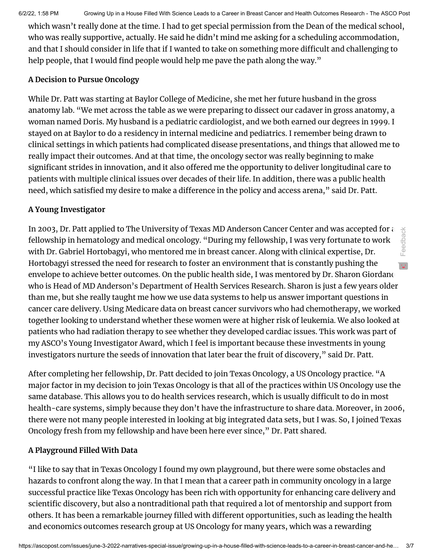6/2/22, 1:58 PM Growing Up in a House Filled With Science Leads to a Career in Breast Cancer and Health Outcomes Research - The ASCO Post

which wasn't really done at the time. I had to get special permission from the Dean of the medical school, who was really supportive, actually. He said he didn't mind me asking for a scheduling accommodation, and that I should consider in life that if I wanted to take on something more difficult and challenging to help people, that I would find people would help me pave the path along the way."

#### **A Decision to Pursue Oncology**

While Dr. Patt was starting at Baylor College of Medicine, she met her future husband in the gross anatomy lab. "We met across the table as we were preparing to dissect our cadaver in gross anatomy, a woman named Doris. My husband is a pediatric cardiologist, and we both earned our degrees in 1999. I stayed on at Baylor to do a residency in internal medicine and pediatrics. I remember being drawn to clinical settings in which patients had complicated disease presentations, and things that allowed me to really impact their outcomes. And at that time, the oncology sector was really beginning to make significant strides in innovation, and it also offered me the opportunity to deliver longitudinal care to patients with multiple clinical issues over decades of their life. In addition, there was a public health need, which satisfied my desire to make a difference in the policy and access arena," said Dr. Patt.

## **A Young Investigator**

In 2003, Dr. Patt applied to The University of Texas MD Anderson Cancer Center and was accepted for a fellowship in hematology and medical oncology. "During my fellowship, I was very fortunate to work with Dr. Gabriel Hortobagyi, who mentored me in breast cancer. Along with clinical expertise, Dr. Hortobagyi stressed the need for research to foster an environment that is constantly pushing the envelope to achieve better outcomes. On the public health side, I was mentored by Dr. Sharon Giordano who is Head of MD Anderson's Department of Health Services Research. Sharon is just a few years older than me, but she really taught me how we use data systems to help us answer important questions in cancer care delivery. Using Medicare data on breast cancer survivors who had chemotherapy, we worked together looking to understand whether these women were at higher risk of leukemia. We also looked at patients who had radiation therapy to see whether they developed cardiac issues. This work was part of my ASCO's Young Investigator Award, which I feel is important because these investments in young investigators nurture the seeds of innovation that later bear the fruit of discovery," said Dr. Patt. Feedback

After completing her fellowship, Dr. Patt decided to join Texas Oncology, a US Oncology practice. "A major factor in my decision to join Texas Oncology is that all of the practices within US Oncology use the same database. This allows you to do health services research, which is usually difficult to do in most health-care systems, simply because they don't have the infrastructure to share data. Moreover, in 2006, there were not many people interested in looking at big integrated data sets, but I was. So, I joined Texas Oncology fresh from my fellowship and have been here ever since," Dr. Patt shared.

### **A Playground Filled With Data**

"I like to say that in Texas Oncology I found my own playground, but there were some obstacles and hazards to confront along the way. In that I mean that a career path in community oncology in a large successful practice like Texas Oncology has been rich with opportunity for enhancing care delivery and scientific discovery, but also a nontraditional path that required a lot of mentorship and support from others. It has been a remarkable journey filled with different opportunities, such as leading the health and economics outcomes research group at US Oncology for many years, which was a rewarding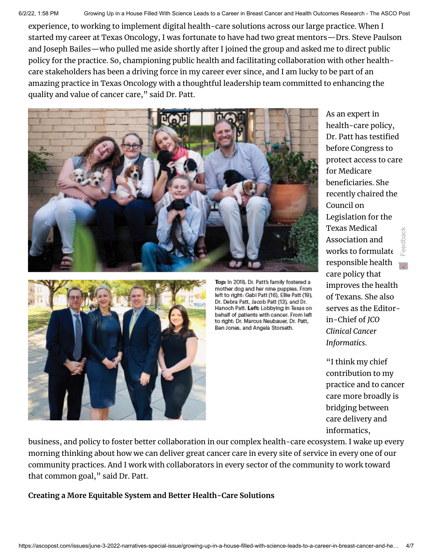6/2/22, 1:58 PM Growing Up in a House Filled With Science Leads to a Career in Breast Cancer and Health Outcomes Research - The ASCO Post

experience, to working to implement digital health-care solutions across our large practice. When I started my career at Texas Oncology, I was fortunate to have had two great mentors—Drs. Steve Paulson and Joseph Bailes—who pulled me aside shortly after I joined the group and asked me to direct public policy for the practice. So, championing public health and facilitating collaboration with other healthcare stakeholders has been a driving force in my career ever since, and I am lucky to be part of an amazing practice in Texas Oncology with a thoughtful leadership team committed to enhancing the quality and value of cancer care," said Dr. Patt.





Top: In 2018, Dr. Patt's family fostered a mother dog and her nine pupples. From left to right: Gabi Patt (16), Ellie Patt (19), Dr. Debra Patt, Jacob Patt (13), and Dr. Hanoch Patt. Left: Lobbying in Texas on behalf of patients with cancer. From left to right: Dr. Marcus Neubauer, Dr. Patt, Ben Jones, and Angela Storseth.

As an expert in health-care policy, Dr. Patt has testified before Congress to protect access to care for Medicare beneficiaries. She recently chaired the Council on Legislation for the Texas Medical Association and works to formulate responsible healthcare policy that improves the health of Texans. She also serves as the Editorin-Chief of *JCO Clinical Cancer Informatics*. Feedback

"I think my chief contribution to my practice and to cancer care more broadly is bridging between care delivery and informatics,

business, and policy to foster better collaboration in our complex health-care ecosystem. I wake up every morning thinking about how we can deliver great cancer care in every site of service in every one of our community practices. And I work with collaborators in every sector of the community to work toward that common goal," said Dr. Patt.

**Creating a More Equitable System and Better Health-Care Solutions**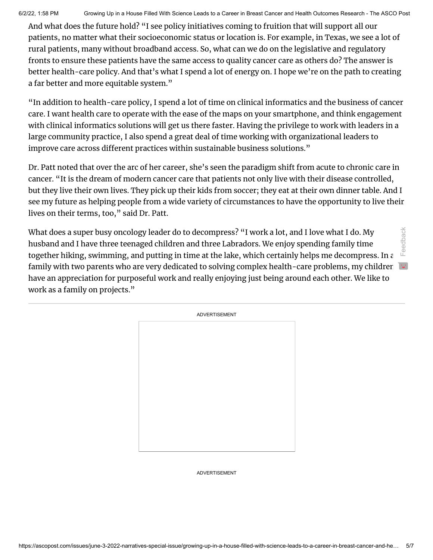6/2/22, 1:58 PM Growing Up in a House Filled With Science Leads to a Career in Breast Cancer and Health Outcomes Research - The ASCO Post

And what does the future hold? "I see policy initiatives coming to fruition that will support all our patients, no matter what their socioeconomic status or location is. For example, in Texas, we see a lot of rural patients, many without broadband access. So, what can we do on the legislative and regulatory fronts to ensure these patients have the same access to quality cancer care as others do? The answer is better health-care policy. And that's what I spend a lot of energy on. I hope we're on the path to creating a far better and more equitable system."

"In addition to health-care policy, I spend a lot of time on clinical informatics and the business of cancer care. I want health care to operate with the ease of the maps on your smartphone, and think engagement with clinical informatics solutions will get us there faster. Having the privilege to work with leaders in a large community practice, I also spend a great deal of time working with organizational leaders to improve care across different practices within sustainable business solutions."

Dr. Patt noted that over the arc of her career, she's seen the paradigm shift from acute to chronic care in cancer. "It is the dream of modern cancer care that patients not only live with their disease controlled, but they live their own lives. They pick up their kids from soccer; they eat at their own dinner table. And I see my future as helping people from a wide variety of circumstances to have the opportunity to live their lives on their terms, too," said Dr. Patt.

What does a super busy oncology leader do to decompress? "I work a lot, and I love what I do. My husband and I have three teenaged children and three Labradors. We enjoy spending family time together hiking, swimming, and putting in time at the lake, which certainly helps me decompress. In a family with two parents who are very dedicated to solving complex health-care problems, my children have an appreciation for purposeful work and really enjoying just being around each other. We like to work as a family on projects." Feedback

| <b>ADVERTISEMENT</b> |
|----------------------|
|                      |
|                      |
|                      |
|                      |
|                      |
|                      |
|                      |
|                      |
|                      |
|                      |
|                      |

ADVERTISEMENT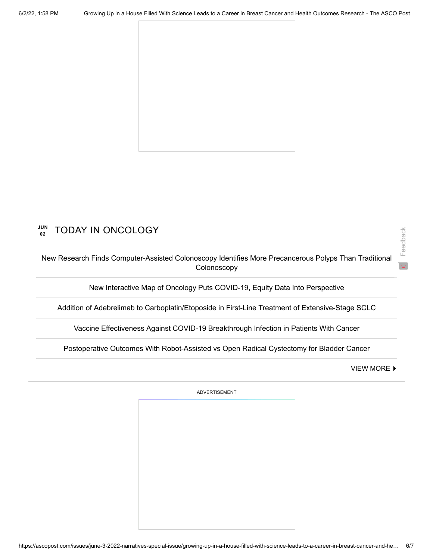

#### **JUN 02** TODAY IN ONCOLOGY

[New Research Finds Computer-Assisted Colonoscopy Identifies More Precancerous Polyps Than Traditional](https://ascopost.com/news/june-2022/new-research-finds-computer-assisted-colonoscopy-identifies-more-precancerous-polyps-than-traditional-colonoscopy/) Colonoscopy

[New Interactive Map of Oncology Puts COVID-19, Equity Data Into Perspective](https://ascopost.com/news/june-2022/new-interactive-map-of-oncology-puts-covid-19-equity-data-into-perspective/)

[Addition of Adebrelimab to Carboplatin/Etoposide in First-Line Treatment of Extensive-Stage SCLC](https://ascopost.com/news/june-2022/addition-of-adebrelimab-to-carboplatinetoposide-in-first-line-treatment-of-extensive-stage-sclc/)

[Vaccine Effectiveness Against COVID-19 Breakthrough Infection in Patients With Cancer](https://ascopost.com/news/june-2022/vaccine-effectiveness-against-covid-19-breakthrough-infection-in-patients-with-cancer/)

[Postoperative Outcomes With Robot-Assisted vs Open Radical Cystectomy for Bladder Cancer](https://ascopost.com/news/june-2022/postoperative-outcomes-with-robot-assisted-vs-open-radical-cystectomy-for-bladder-cancer/)

**[VIEW MORE](https://ascopost.com/News/) ▶** 

Feedback

ADVERTISEMENT